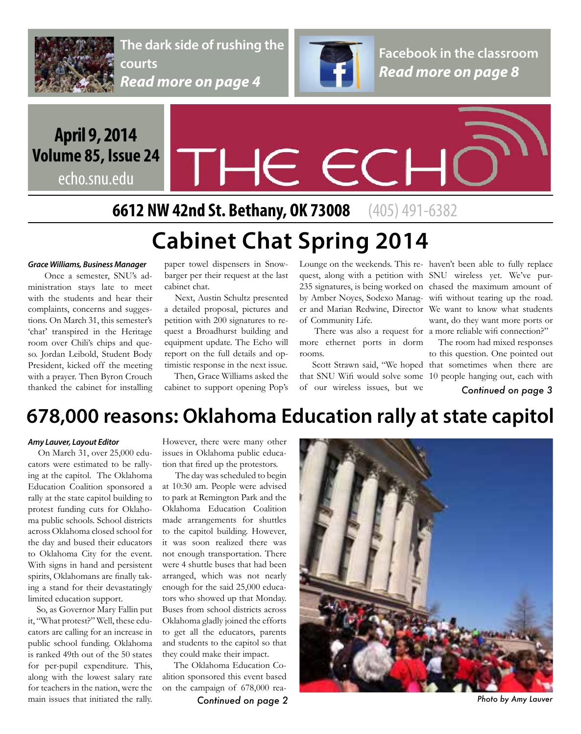

**The dark side of rushing the courts** *Read more on page 4*



**Facebook in the classroom** *Read more on page 8*

## **April 9, 2014 Volume 85, Issue 24**

echo.snu.edu

# THE ECI

**6612 NW 42nd St. Bethany, OK 73008** (405) 491-6382

# **Cabinet Chat Spring 2014**

#### *Grace Williams, Business Manager*

 Once a semester, SNU's administration stays late to meet with the students and hear their complaints, concerns and suggestions. On March 31, this semester's 'chat' transpired in the Heritage room over Chili's chips and queso. Jordan Leibold, Student Body President, kicked off the meeting with a prayer. Then Byron Crouch thanked the cabinet for installing paper towel dispensers in Snowbarger per their request at the last cabinet chat.

 Next, Austin Schultz presented a detailed proposal, pictures and petition with 200 signatures to request a Broadhurst building and equipment update. The Echo will report on the full details and optimistic response in the next issue.

Then, Grace Williams asked the

quest, along with a petition with SNU wireless yet. We've pur-235 signatures, is being worked on chased the maximum amount of by Amber Noyes, Sodexo Manag- wifi without tearing up the road. er and Marian Redwine, Director We want to know what students of Community Life.

There was also a request for a more reliable wifi connection?" more ethernet ports in dorm rooms.

cabinet to support opening Pop's of our wireless issues, but we **Continued on page 3** of our wireless issues, but we

Lounge on the weekends. This re- haven't been able to fully replace want, do they want more ports or

 The room had mixed responses to this question. One pointed out Scott Strawn said, "We hoped that sometimes when there are that SNU Wifi would solve some 10 people hanging out, each with

## **678,000 reasons: Oklahoma Education rally at state capitol**

#### *Amy Lauver, Layout Editor*

 On March 31, over 25,000 educators were estimated to be rallying at the capitol. The Oklahoma Education Coalition sponsored a rally at the state capitol building to protest funding cuts for Oklahoma public schools. School districts across Oklahoma closed school for the day and bused their educators to Oklahoma City for the event. With signs in hand and persistent spirits, Oklahomans are finally taking a stand for their devastatingly limited education support.

 So, as Governor Mary Fallin put it, "What protest?" Well, these educators are calling for an increase in public school funding. Oklahoma is ranked 49th out of the 50 states for per-pupil expenditure. This, along with the lowest salary rate for teachers in the nation, were the main issues that initiated the rally.

However, there were many other issues in Oklahoma public education that fired up the protestors.

 The day was scheduled to begin at 10:30 am. People were advised to park at Remington Park and the Oklahoma Education Coalition made arrangements for shuttles to the capitol building. However, it was soon realized there was not enough transportation. There were 4 shuttle buses that had been arranged, which was not nearly enough for the said 25,000 educators who showed up that Monday. Buses from school districts across Oklahoma gladly joined the efforts to get all the educators, parents and students to the capitol so that they could make their impact.

 The Oklahoma Education Coalition sponsored this event based on the campaign of 678,000 rea-

*Continued on page 2 Photo by Amy Lauver*

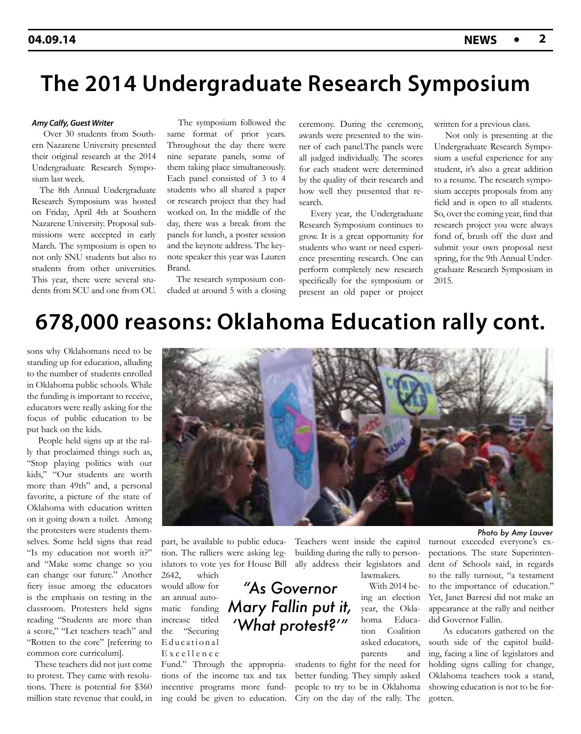## **The 2014 Undergraduate Research Symposium**

#### *Amy Calfy, Guest Writer*

 Over 30 students from Southern Nazarene University presented their original research at the 2014 Undergraduate Research Symposium last week.

 The 8th Annual Undergraduate Research Symposium was hosted on Friday, April 4th at Southern Nazarene University. Proposal submissions were accepted in early March. The symposium is open to not only SNU students but also to students from other universities. This year, there were several students from SCU and one from OU.

 The symposium followed the same format of prior years. Throughout the day there were nine separate panels, some of them taking place simultaneously. Each panel consisted of 3 to 4 students who all shared a paper or research project that they had worked on. In the middle of the day, there was a break from the panels for lunch, a poster session and the keynote address. The keynote speaker this year was Lauren Brand.

 The research symposium concluded at around 5 with a closing

ceremony. During the ceremony, awards were presented to the winner of each panel.The panels were all judged individually. The scores for each student were determined by the quality of their research and how well they presented that research.

 Every year, the Undergraduate Research Symposium continues to grow. It is a great opportunity for students who want or need experience presenting research. One can perform completely new research specifically for the symposium or present an old paper or project

written for a previous class.

 Not only is presenting at the Undergraduate Research Symposium a useful experience for any student, it's also a great addition to a resume. The research symposium accepts proposals from any field and is open to all students. So, over the coming year, find that research project you were always fond of, brush off the dust and submit your own proposal next spring, for the 9th Annual Undergraduate Research Symposium in 2015.

## **678,000 reasons: Oklahoma Education rally cont.**

*"As Governor* 

*Mary Fallin put it,* 

*'What protest?'"*

sons why Oklahomans need to be standing up for education, alluding to the number of students enrolled in Oklahoma public schools. While the funding is important to receive, educators were really asking for the focus of public education to be put back on the kids.

 People held signs up at the rally that proclaimed things such as, "Stop playing politics with our kids," "Our students are worth more than 49th" and, a personal favorite, a picture of the state of Oklahoma with education written on it going down a toilet. Among the protesters were students themselves. Some held signs that read "Is my education not worth it?" and "Make some change so you can change our future." Another fiery issue among the educators is the emphasis on testing in the classroom. Protesters held signs reading "Students are more than a score," "Let teachers teach" and "Rotten to the core" [referring to common core curriculum].

 These teachers did not just come to protest. They came with resolutions. There is potential for \$360 million state revenue that could, in



part, be available to public education. The ralliers were asking legislators to vote yes for House Bill ally address their legislators and 2642, which

would allow for an annual automatic funding increase titled the "Securing Educational Excellence

Fund." Through the appropriations of the income tax and tax incentive programs more fund-

Teachers went inside the capitol building during the rally to personlawmakers.

 With 2014 being an election year, the Oklahoma Education Coalition asked educators, parents and

ing could be given to education. City on the day of the rally. The gotten. students to fight for the need for better funding. They simply asked people to try to be in Oklahoma

turnout exceeded everyone's expectations. The state Superinten-

dent of Schools said, in regards to the rally turnout, "a testament to the importance of education." Yet, Janet Barresi did not make an appearance at the rally and neither did Governor Fallin.

 As educators gathered on the south side of the capitol building, facing a line of legislators and holding signs calling for change, Oklahoma teachers took a stand, showing education is not to be for-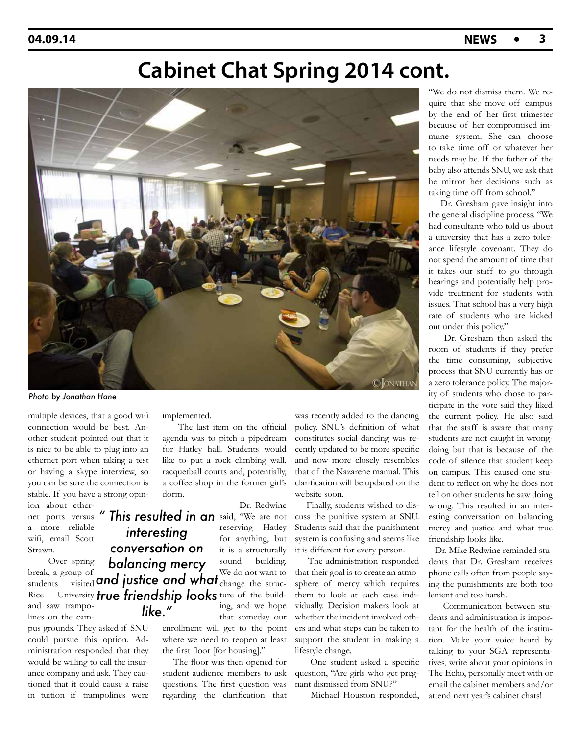## **Cabinet Chat Spring 2014 cont.**



*Photo by Jonathan Hane*

multiple devices, that a good wifi connection would be best. Another student pointed out that it is nice to be able to plug into an ethernet port when taking a test or having a skype interview, so you can be sure the connection is stable. If you have a strong opin-

ion about ethera more reliable wifi, email Scott Strawn.

 Over spring break, a group of and saw trampolines on the cam-

pus grounds. They asked if SNU could pursue this option. Administration responded that they would be willing to call the insurance company and ask. They cautioned that it could cause a raise in tuition if trampolines were implemented.

 The last item on the official agenda was to pitch a pipedream for Hatley hall. Students would like to put a rock climbing wall, racquetball courts and, potentially, a coffee shop in the former girl's dorm.

net ports versus " This resulted in an said, "We are not Dr. Redwine reserving Hatley for anything, but it is a structurally sound building. We do not want to ing, and we hope that someday our

> enrollment will get to the point where we need to reopen at least the first floor [for housing]."

> The floor was then opened for student audience members to ask questions. The first question was regarding the clarification that

was recently added to the dancing policy. SNU's definition of what constitutes social dancing was recently updated to be more specific and now more closely resembles that of the Nazarene manual. This clarification will be updated on the website soon.

 Finally, students wished to discuss the punitive system at SNU. Students said that the punishment system is confusing and seems like it is different for every person.

 The administration responded that their goal is to create an atmosphere of mercy which requires them to look at each case individually. Decision makers look at whether the incident involved others and what steps can be taken to support the student in making a lifestyle change.

 One student asked a specific question, "Are girls who get pregnant dismissed from SNU?"

Michael Houston responded,

"We do not dismiss them. We require that she move off campus by the end of her first trimester because of her compromised immune system. She can choose to take time off or whatever her needs may be. If the father of the baby also attends SNU, we ask that he mirror her decisions such as taking time off from school."

 Dr. Gresham gave insight into the general discipline process. "We had consultants who told us about a university that has a zero tolerance lifestyle covenant. They do not spend the amount of time that it takes our staff to go through hearings and potentially help provide treatment for students with issues. That school has a very high rate of students who are kicked out under this policy."

 Dr. Gresham then asked the room of students if they prefer the time consuming, subjective process that SNU currently has or a zero tolerance policy. The majority of students who chose to participate in the vote said they liked the current policy. He also said that the staff is aware that many students are not caught in wrongdoing but that is because of the code of silence that student keep on campus. This caused one student to reflect on why he does not tell on other students he saw doing wrong. This resulted in an interesting conversation on balancing mercy and justice and what true friendship looks like.

 Dr. Mike Redwine reminded students that Dr. Gresham receives phone calls often from people saying the punishments are both too lenient and too harsh.

 Communication between students and administration is important for the health of the institution. Make your voice heard by talking to your SGA representatives, write about your opinions in The Echo, personally meet with or email the cabinet members and/or attend next year's cabinet chats!

students visited and justice and what **change** the struc-Rice University *true friendship looks* ture of the build*interesting conversation on balancing mercy like."*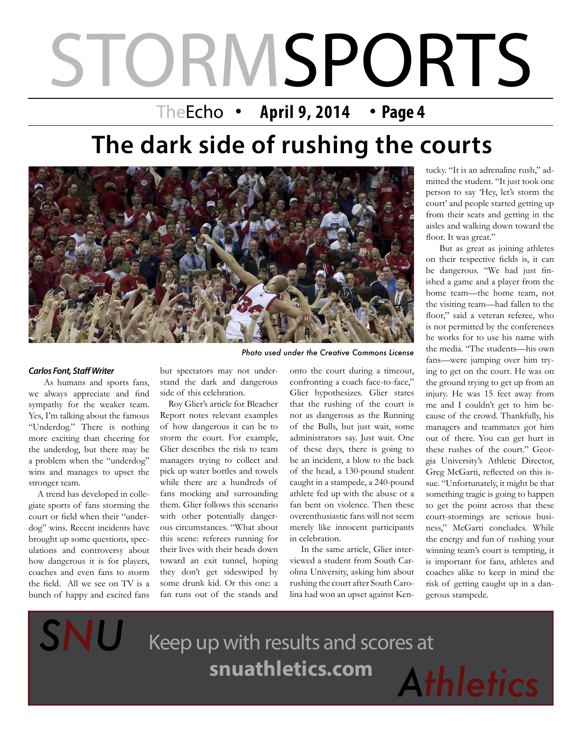# STORMSPORTS

TheEcho • April 9, 2014 • Page 4

# **The dark side of rushing the courts**



#### *Carlos Font, Staff Writer*

 As humans and sports fans, we always appreciate and find sympathy for the weaker team. Yes, I'm talking about the famous "Underdog." There is nothing more exciting than cheering for the underdog, but there may be a problem when the "underdog" wins and manages to upset the stronger team.

 A trend has developed in collegiate sports of fans storming the court or field when their "underdog" wins. Recent incidents have brought up some questions, speculations and controversy about how dangerous it is for players, coaches and even fans to storm the field. All we see on TV is a bunch of happy and excited fans

*SNU*

but spectators may not understand the dark and dangerous side of this celebration.

 Roy Glier's article for Bleacher Report notes relevant examples of how dangerous it can be to storm the court. For example, Glier describes the risk to team managers trying to collect and pick up water bottles and towels while there are a hundreds of fans mocking and surrounding them. Glier follows this scenario with other potentially dangerous circumstances. "What about this scene: referees running for their lives with their heads down toward an exit tunnel, hoping they don't get sideswiped by some drunk kid. Or this one: a fan runs out of the stands and

onto the court during a timeout, confronting a coach face-to-face," Glier hypothesizes. Glier states that the rushing of the court is not as dangerous as the Running of the Bulls, but just wait, some administrators say. Just wait. One of these days, there is going to be an incident, a blow to the back of the head, a 130-pound student caught in a stampede, a 240-pound athlete fed up with the abuse or a fan bent on violence. Then these overenthusiastic fans will not seem merely like innocent participants in celebration.

 In the same article, Glier interviewed a student from South Carolina University, asking him about rushing the court after South Carolina had won an upset against Ken-

tucky. "It is an adrenaline rush," admitted the student. "It just took one person to say 'Hey, let's storm the court' and people started getting up from their seats and getting in the aisles and walking down toward the floor. It was great."

 But as great as joining athletes on their respective fields is, it can be dangerous. "We had just finished a game and a player from the home team—the home team, not the visiting team—had fallen to the floor," said a veteran referee, who is not permitted by the conferences he works for to use his name with the media. "The students—his own fans—were jumping over him trying to get on the court. He was on the ground trying to get up from an injury. He was 15 feet away from me and I couldn't get to him because of the crowd. Thankfully, his managers and teammates got him out of there. You can get hurt in these rushes of the court." Georgia University's Athletic Director, Greg McGarti, reflected on this issue. "Unfortunately, it might be that something tragic is going to happen to get the point across that these court-stormings are serious business," McGarti concludes. While the energy and fun of rushing your winning team's court is tempting, it is important for fans, athletes and coaches alike to keep in mind the risk of getting caught up in a dangerous stampede.

Keep up with results and scores at **snuathletics.com**

*Athletics*

 $\overline{a}$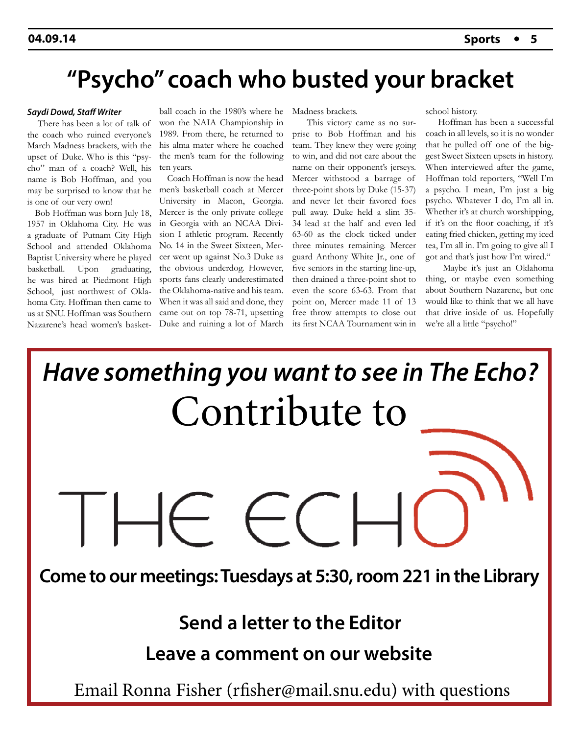## **"Psycho" coach who busted your bracket**

#### *Saydi Dowd, Staff Writer*

 There has been a lot of talk of the coach who ruined everyone's March Madness brackets, with the upset of Duke. Who is this "psycho" man of a coach? Well, his name is Bob Hoffman, and you may be surprised to know that he men's basketball coach at Mercer is one of our very own!

 Bob Hoffman was born July 18, 1957 in Oklahoma City. He was a graduate of Putnam City High School and attended Oklahoma Baptist University where he played basketball. Upon graduating, he was hired at Piedmont High School, just northwest of Oklahoma City. Hoffman then came to us at SNU. Hoffman was Southern

ball coach in the 1980's where he won the NAIA Championship in 1989. From there, he returned to his alma mater where he coached the men's team for the following ten years.

Nazarene's head women's basket-Duke and ruining a lot of March Coach Hoffman is now the head University in Macon, Georgia. Mercer is the only private college in Georgia with an NCAA Division I athletic program. Recently No. 14 in the Sweet Sixteen, Mercer went up against No.3 Duke as the obvious underdog. However, sports fans clearly underestimated the Oklahoma-native and his team. When it was all said and done, they came out on top 78-71, upsetting

Madness brackets.

 This victory came as no surprise to Bob Hoffman and his team. They knew they were going to win, and did not care about the name on their opponent's jerseys. Mercer withstood a barrage of three-point shots by Duke (15-37) and never let their favored foes pull away. Duke held a slim 35- 34 lead at the half and even led 63-60 as the clock ticked under three minutes remaining. Mercer guard Anthony White Jr., one of five seniors in the starting line-up, then drained a three-point shot to even the score 63-63. From that point on, Mercer made 11 of 13 free throw attempts to close out its first NCAA Tournament win in school history.

 Hoffman has been a successful coach in all levels, so it is no wonder that he pulled off one of the biggest Sweet Sixteen upsets in history. When interviewed after the game, Hoffman told reporters, "Well I'm a psycho. I mean, I'm just a big psycho. Whatever I do, I'm all in. Whether it's at church worshipping, if it's on the floor coaching, if it's eating fried chicken, getting my iced tea, I'm all in. I'm going to give all I got and that's just how I'm wired."

 Maybe it's just an Oklahoma thing, or maybe even something about Southern Nazarene, but one would like to think that we all have that drive inside of us. Hopefully we're all a little "psycho!"

Contribute to *Have something you want to see in The Echo?*

**Come to our meetings: Tuesdays at 5:30, room 221 in the Library**

**Send a letter to the Editor**

**Leave a comment on our website**

Email Ronna Fisher (rfisher@mail.snu.edu) with questions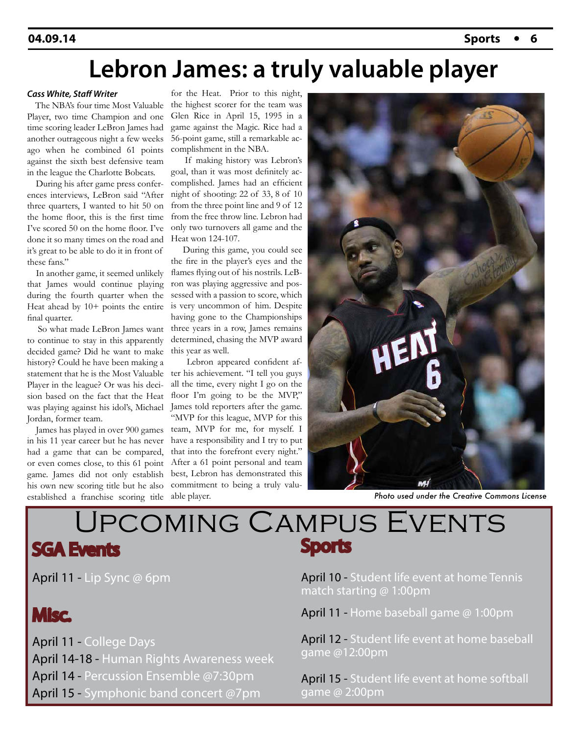## **Lebron James: a truly valuable player**

#### *Cass White, Staff Writer*

 The NBA's four time Most Valuable Player, two time Champion and one time scoring leader LeBron James had another outrageous night a few weeks ago when he combined 61 points against the sixth best defensive team in the league the Charlotte Bobcats.

 During his after game press conferences interviews, LeBron said "After three quarters, I wanted to hit 50 on the home floor, this is the first time I've scored 50 on the home floor. I've done it so many times on the road and it's great to be able to do it in front of these fans."

 In another game, it seemed unlikely that James would continue playing during the fourth quarter when the Heat ahead by 10+ points the entire final quarter.

 So what made LeBron James want to continue to stay in this apparently decided game? Did he want to make history? Could he have been making a statement that he is the Most Valuable Player in the league? Or was his decision based on the fact that the Heat was playing against his idol's, Michael Jordan, former team.

 James has played in over 900 games in his 11 year career but he has never had a game that can be compared, or even comes close, to this 61 point game. James did not only establish his own new scoring title but he also established a franchise scoring title

for the Heat. Prior to this night, the highest scorer for the team was Glen Rice in April 15, 1995 in a game against the Magic. Rice had a 56-point game, still a remarkable accomplishment in the NBA.

 If making history was Lebron's goal, than it was most definitely accomplished. James had an efficient night of shooting: 22 of 33, 8 of 10 from the three point line and 9 of 12 from the free throw line. Lebron had only two turnovers all game and the Heat won 124-107.

 During this game, you could see the fire in the player's eyes and the flames flying out of his nostrils. LeBron was playing aggressive and possessed with a passion to score, which is very uncommon of him. Despite having gone to the Championships three years in a row, James remains determined, chasing the MVP award this year as well.

 Lebron appeared confident after his achievement. "I tell you guys all the time, every night I go on the floor I'm going to be the MVP," James told reporters after the game. "MVP for this league, MVP for this team, MVP for me, for myself. I have a responsibility and I try to put that into the forefront every night." After a 61 point personal and team best, Lebron has demonstrated this commitment to being a truly valuable player.



*Photo used under the Creative Commons License*

### Upcoming Campus Events SGA Events Sports

April 11 - Lip Sync @ 6pm

## Misc.

April 11 - College Days

April 14-18 - Human Rights Awareness week

April 14 - Percussion Ensemble @7:30pm

April 15 - Symphonic band concert @7pm

April 10 - Student life event at home Tennis match starting @ 1:00pm

April 11 - Home baseball game @ 1:00pm

April 12 - Student life event at home baseball game @12:00pm

April 15 - Student life event at home softball game @ 2:00pm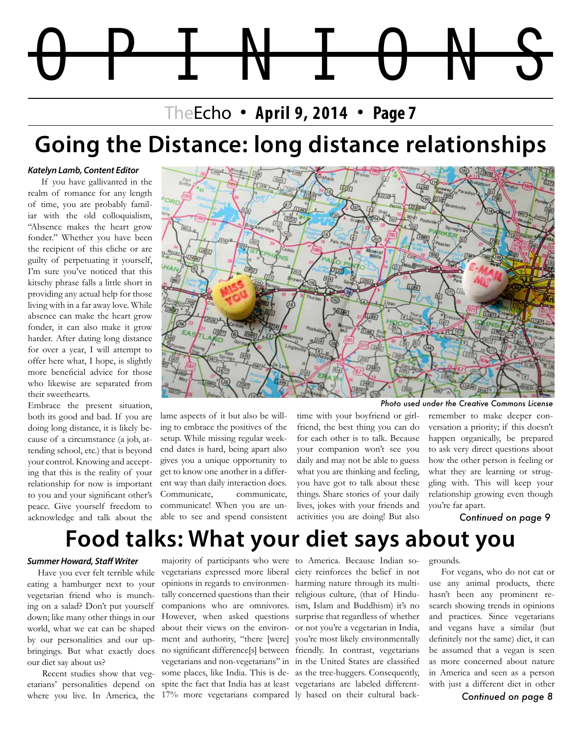# **Lebron James: a truly valuable player** OPINIONS

### TheEcho • April 9, 2014 • Page 7

## **Going the Distance: long distance relationships**

#### *Katelyn Lamb, Content Editor*

 If you have gallivanted in the realm of romance for any length of time, you are probably familiar with the old colloquialism, "Absence makes the heart grow fonder." Whether you have been the recipient of this cliche or are guilty of perpetuating it yourself, I'm sure you've noticed that this kitschy phrase falls a little short in providing any actual help for those living with in a far away love. While absence can make the heart grow fonder, it can also make it grow harder. After dating long distance for over a year, I will attempt to offer here what, I hope, is slightly more beneficial advice for those who likewise are separated from their sweethearts.

Embrace the present situation, both its good and bad. If you are doing long distance, it is likely because of a circumstance (a job, attending school, etc.) that is beyond your control. Knowing and accepting that this is the reality of your relationship for now is important to you and your significant other's peace. Give yourself freedom to acknowledge and talk about the



lame aspects of it but also be willing to embrace the positives of the setup. While missing regular weekend dates is hard, being apart also gives you a unique opportunity to get to know one another in a different way than daily interaction does. Communicate, communicate, communicate! When you are unable to see and spend consistent time with your boyfriend or girlfriend, the best thing you can do for each other is to talk. Because your companion won't see you daily and may not be able to guess what you are thinking and feeling, you have got to talk about these things. Share stories of your daily lives, jokes with your friends and activities you are doing! But also

*Photo used under the Creative Commons License*

remember to make deeper conversation a priority; if this doesn't happen organically, be prepared to ask very direct questions about how the other person is feeling or what they are learning or struggling with. This will keep your relationship growing even though you're far apart.

*Continued on page 9*

## **Food talks: What your diet says about you**

#### *Summer Howard, Staff Writer*

 Have you ever felt terrible while eating a hamburger next to your vegetarian friend who is munching on a salad? Don't put yourself down; like many other things in our world, what we eat can be shaped by our personalities and our upbringings. But what exactly does our diet say about us?

 Recent studies show that vegetarians' personalities depend on where you live. In America, the 17% more vegetarians compared ly based on their cultural back-

majority of participants who were to America. Because Indian sovegetarians expressed more liberal ciety reinforces the belief in not opinions in regards to environmen-harming nature through its multitally concerned questions than their religious culture, (that of Hinducompanions who are omnivores. ism, Islam and Buddhism) it's no However, when asked questions surprise that regardless of whether about their views on the environ-or not you're a vegetarian in India, ment and authority, "there [were] you're most likely environmentally no significant difference[s] between friendly. In contrast, vegetarians vegetarians and non-vegetarians" in in the United States are classified some places, like India. This is de-as the tree-huggers. Consequently, spite the fact that India has at least vegetarians are labeled different-

grounds.

 For vegans, who do not eat or use any animal products, there hasn't been any prominent research showing trends in opinions and practices. Since vegetarians and vegans have a similar (but definitely not the same) diet, it can be assumed that a vegan is seen as more concerned about nature in America and seen as a person with just a different diet in other

*Continued on page 8*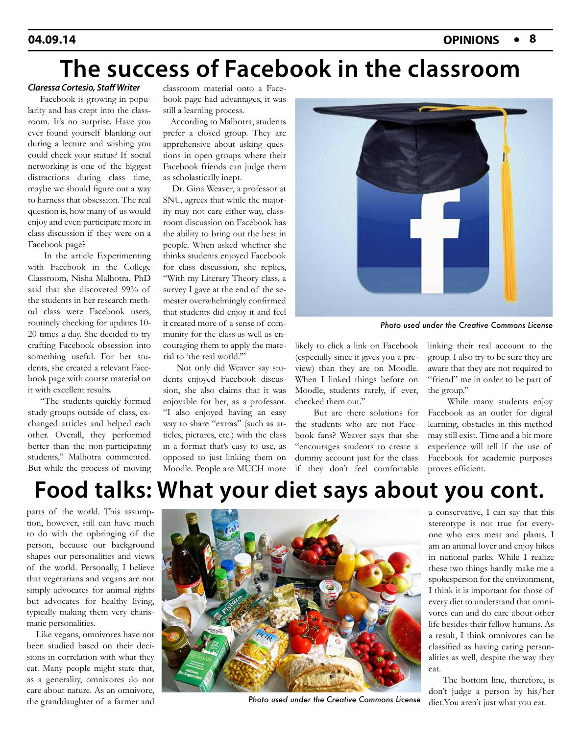## **The success of Facebook in the classroom**

#### *Claressa Cortesio, Staff Writer*

 Facebook is growing in popularity and has crept into the classroom. It's no surprise. Have you ever found yourself blanking out during a lecture and wishing you could check your status? If social networking is one of the biggest distractions during class time, maybe we should figure out a way to harness that obsession. The real question is, how many of us would enjoy and even participate more in class discussion if they were on a Facebook page?

 In the article Experimenting with Facebook in the College Classroom, Nisha Malhotra, PhD said that she discovered 99% of the students in her research method class were Facebook users, routinely checking for updates 10- 20 times a day. She decided to try crafting Facebook obsession into something useful. For her students, she created a relevant Facebook page with course material on it with excellent results.

 "The students quickly formed study groups outside of class, exchanged articles and helped each other. Overall, they performed better than the non-participating students," Malhotra commented. But while the process of moving

classroom material onto a Facebook page had advantages, it was still a learning process.

 According to Malhotra, students prefer a closed group. They are apprehensive about asking questions in open groups where their Facebook friends can judge them as scholastically inept.

 Dr. Gina Weaver, a professor at SNU, agrees that while the majority may not care either way, classroom discussion on Facebook has the ability to bring out the best in people. When asked whether she thinks students enjoyed Facebook for class discussion, she replies, "With my Literary Theory class, a survey I gave at the end of the semester overwhelmingly confirmed that students did enjoy it and feel it created more of a sense of community for the class as well as encouraging them to apply the material to 'the real world.'"

 Not only did Weaver say students enjoyed Facebook discussion, she also claims that it was enjoyable for her, as a professor. "I also enjoyed having an easy way to share "extras" (such as articles, pictures, etc.) with the class in a format that's easy to use, as opposed to just linking them on Moodle. People are MUCH more



*Photo used under the Creative Commons License*

likely to click a link on Facebook (especially since it gives you a preview) than they are on Moodle. When I linked things before on Moodle, students rarely, if ever, checked them out."

 But are there solutions for the students who are not Facebook fans? Weaver says that she "encourages students to create a dummy account just for the class if they don't feel comfortable linking their real account to the group. I also try to be sure they are aware that they are not required to "friend" me in order to be part of the group."

 While many students enjoy Facebook as an outlet for digital learning, obstacles in this method may still exist. Time and a bit more experience will tell if the use of Facebook for academic purposes proves efficient.

## **Food talks: What your diet says about you cont.**

parts of the world. This assumption, however, still can have much to do with the upbringing of the person, because our background shapes our personalities and views of the world. Personally, I believe that vegetarians and vegans are not simply advocates for animal rights but advocates for healthy living, typically making them very charismatic personalities.

 Like vegans, omnivores have not been studied based on their decisions in correlation with what they eat. Many people might state that, as a generality, omnivores do not care about nature. As an omnivore, the granddaughter of a farmer and



Photo used under the Creative Commons License diet. You aren't just what you eat.

a conservative, I can say that this stereotype is not true for everyone who eats meat and plants. I am an animal lover and enjoy hikes in national parks. While I realize these two things hardly make me a spokesperson for the environment, I think it is important for those of every diet to understand that omnivores can and do care about other life besides their fellow humans. As a result, I think omnivores can be classified as having caring personalities as well, despite the way they eat.

 The bottom line, therefore, is don't judge a person by his/her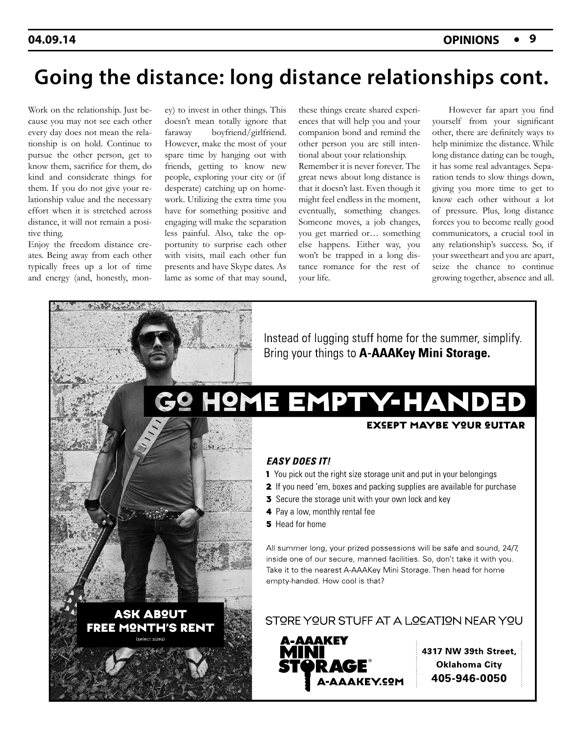## **Going the distance: long distance relationships cont.**

Work on the relationship. Just because you may not see each other every day does not mean the relationship is on hold. Continue to pursue the other person, get to know them, sacrifice for them, do kind and considerate things for them. If you do not give your relationship value and the necessary effort when it is stretched across distance, it will not remain a positive thing.

Enjoy the freedom distance creates. Being away from each other typically frees up a lot of time and energy (and, honestly, mon-

ey) to invest in other things. This doesn't mean totally ignore that faraway boyfriend/girlfriend. However, make the most of your spare time by hanging out with friends, getting to know new people, exploring your city or (if desperate) catching up on homework. Utilizing the extra time you have for something positive and engaging will make the separation less painful. Also, take the opportunity to surprise each other with visits, mail each other fun presents and have Skype dates. As lame as some of that may sound, these things create shared experiences that will help you and your companion bond and remind the other person you are still intentional about your relationship.

Remember it is never forever. The great news about long distance is that it doesn't last. Even though it might feel endless in the moment, eventually, something changes. Someone moves, a job changes, you get married or… something else happens. Either way, you won't be trapped in a long distance romance for the rest of your life.

 However far apart you find yourself from your significant other, there are definitely ways to help minimize the distance. While long distance dating can be tough, it has some real advantages. Separation tends to slow things down, giving you more time to get to know each other without a lot of pressure. Plus, long distance forces you to become really good communicators, a crucial tool in any relationship's success. So, if your sweetheart and you are apart, seize the chance to continue growing together, absence and all.

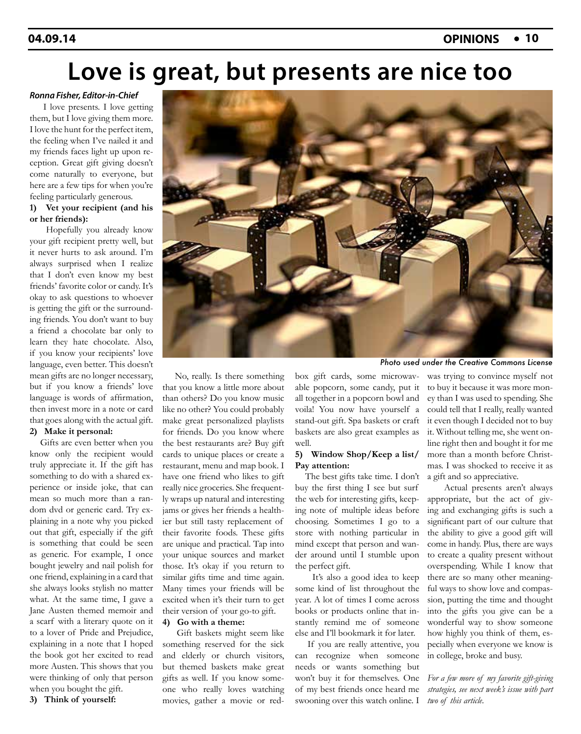## **Love is great, but presents are nice too**

#### *Ronna Fisher, Editor-in-Chief*

 I love presents. I love getting them, but I love giving them more. I love the hunt for the perfect item, the feeling when I've nailed it and my friends faces light up upon reception. Great gift giving doesn't come naturally to everyone, but here are a few tips for when you're feeling particularly generous.

#### **1) Vet your recipient (and his or her friends):**

 Hopefully you already know your gift recipient pretty well, but it never hurts to ask around. I'm always surprised when I realize that I don't even know my best friends' favorite color or candy. It's okay to ask questions to whoever is getting the gift or the surrounding friends. You don't want to buy a friend a chocolate bar only to learn they hate chocolate. Also, if you know your recipients' love language, even better. This doesn't mean gifts are no longer necessary, but if you know a friends' love language is words of affirmation, then invest more in a note or card that goes along with the actual gift.

### **2) Make it personal:**

 Gifts are even better when you know only the recipient would truly appreciate it. If the gift has something to do with a shared experience or inside joke, that can mean so much more than a random dvd or generic card. Try explaining in a note why you picked out that gift, especially if the gift is something that could be seen as generic. For example, I once bought jewelry and nail polish for one friend, explaining in a card that she always looks stylish no matter what. At the same time, I gave a Jane Austen themed memoir and a scarf with a literary quote on it to a lover of Pride and Prejudice, explaining in a note that I hoped the book got her excited to read more Austen. This shows that you were thinking of only that person when you bought the gift. **3) Think of yourself:**

 No, really. Is there something that you know a little more about than others? Do you know music like no other? You could probably make great personalized playlists for friends. Do you know where the best restaurants are? Buy gift cards to unique places or create a restaurant, menu and map book. I have one friend who likes to gift really nice groceries. She frequently wraps up natural and interesting jams or gives her friends a healthier but still tasty replacement of their favorite foods. These gifts are unique and practical. Tap into your unique sources and market those. It's okay if you return to similar gifts time and time again. Many times your friends will be excited when it's their turn to get their version of your go-to gift. **4) Go with a theme:**

 Gift baskets might seem like something reserved for the sick and elderly or church visitors, but themed baskets make great gifts as well. If you know someone who really loves watching movies, gather a movie or redbox gift cards, some microwavable popcorn, some candy, put it all together in a popcorn bowl and voila! You now have yourself a stand-out gift. Spa baskets or craft baskets are also great examples as well.

#### **5) Window Shop/Keep a list/ Pay attention:**

 The best gifts take time. I don't buy the first thing I see but surf the web for interesting gifts, keeping note of multiple ideas before choosing. Sometimes I go to a store with nothing particular in mind except that person and wander around until I stumble upon the perfect gift.

 It's also a good idea to keep some kind of list throughout the year. A lot of times I come across books or products online that instantly remind me of someone else and I'll bookmark it for later.

 If you are really attentive, you can recognize when someone needs or wants something but won't buy it for themselves. One of my best friends once heard me swooning over this watch online. I

*Photo used under the Creative Commons License*

was trying to convince myself not to buy it because it was more money than I was used to spending. She could tell that I really, really wanted it even though I decided not to buy it. Without telling me, she went online right then and bought it for me more than a month before Christmas. I was shocked to receive it as a gift and so appreciative.

 Actual presents aren't always appropriate, but the act of giving and exchanging gifts is such a significant part of our culture that the ability to give a good gift will come in handy. Plus, there are ways to create a quality present without overspending. While I know that there are so many other meaningful ways to show love and compassion, putting the time and thought into the gifts you give can be a wonderful way to show someone how highly you think of them, especially when everyone we know is in college, broke and busy.

*For a few more of my favorite gift-giving strategies, see next week's issue with part two of this article.*

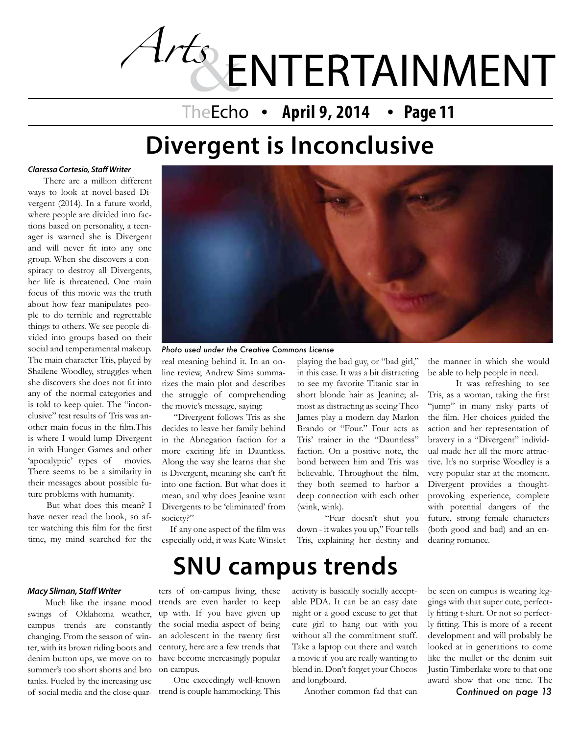# *Arts* ENTERTAINMENT

### TheEcho • April 9, 2014 • Page 11

## **Divergent is Inconclusive**

#### *Claressa Cortesio, Staff Writer*

 There are a million different ways to look at novel-based Divergent (2014). In a future world, where people are divided into factions based on personality, a teenager is warned she is Divergent and will never fit into any one group. When she discovers a conspiracy to destroy all Divergents, her life is threatened. One main focus of this movie was the truth about how fear manipulates people to do terrible and regrettable things to others. We see people divided into groups based on their social and temperamental makeup. The main character Tris, played by Shailene Woodley, struggles when she discovers she does not fit into any of the normal categories and is told to keep quiet. The "inconclusive" test results of Tris was another main focus in the film.This is where I would lump Divergent in with Hunger Games and other 'apocalyptic' types of movies. There seems to be a similarity in their messages about possible future problems with humanity.

 But what does this mean? I have never read the book, so after watching this film for the first time, my mind searched for the



real meaning behind it. In an on-*Photo used under the Creative Commons License*

line review, Andrew Sims summarizes the main plot and describes the struggle of comprehending the movie's message, saying:

 "Divergent follows Tris as she decides to leave her family behind in the Abnegation faction for a more exciting life in Dauntless. Along the way she learns that she is Divergent, meaning she can't fit into one faction. But what does it mean, and why does Jeanine want Divergents to be 'eliminated' from society?"

 If any one aspect of the film was especially odd, it was Kate Winslet

**SNU campus trends**

playing the bad guy, or "bad girl," in this case. It was a bit distracting to see my favorite Titanic star in short blonde hair as Jeanine; almost as distracting as seeing Theo James play a modern day Marlon Brando or "Four." Four acts as Tris' trainer in the "Dauntless" faction. On a positive note, the bond between him and Tris was believable. Throughout the film, they both seemed to harbor a deep connection with each other (wink, wink).

"Fear doesn't shut you down - it wakes you up," Four tells Tris, explaining her destiny and

the manner in which she would be able to help people in need.

It was refreshing to see Tris, as a woman, taking the first "jump" in many risky parts of the film. Her choices guided the action and her representation of bravery in a "Divergent" individual made her all the more attractive. It's no surprise Woodley is a very popular star at the moment. Divergent provides a thoughtprovoking experience, complete with potential dangers of the future, strong female characters (both good and bad) and an endearing romance.

#### *Macy Sliman, Staff Writer*

 Much like the insane mood swings of Oklahoma weather, campus trends are constantly changing. From the season of winter, with its brown riding boots and denim button ups, we move on to have become increasingly popular summer's too short shorts and bro on campus. tanks. Fueled by the increasing use of social media and the close quar-trend is couple hammocking. This

ters of on-campus living, these trends are even harder to keep up with. If you have given up the social media aspect of being an adolescent in the twenty first century, here are a few trends that

One exceedingly well-known

activity is basically socially acceptable PDA. It can be an easy date night or a good excuse to get that cute girl to hang out with you without all the commitment stuff. Take a laptop out there and watch a movie if you are really wanting to blend in. Don't forget your Chocos and longboard.

Another common fad that can

be seen on campus is wearing leggings with that super cute, perfectly fitting t-shirt. Or not so perfectly fitting. This is more of a recent development and will probably be looked at in generations to come like the mullet or the denim suit Justin Timberlake wore to that one award show that one time. The *Continued on page 13*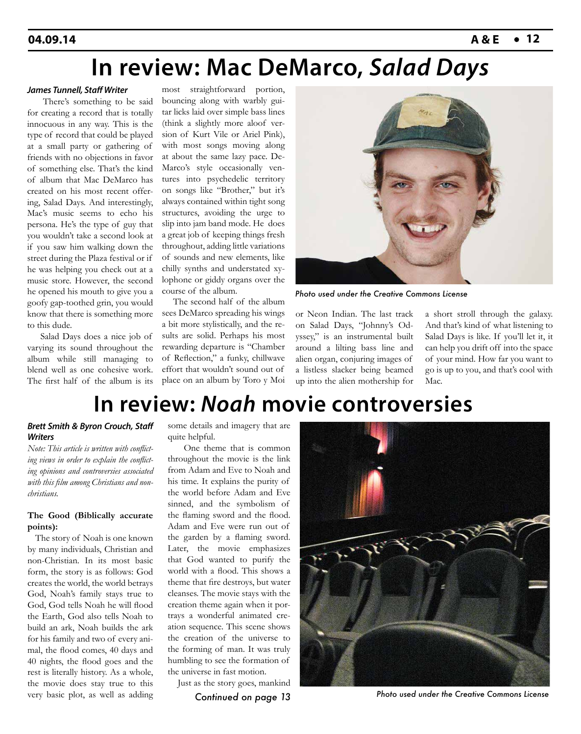## **In review: Mac DeMarco,** *Salad Days*

#### *James Tunnell, Staff Writer*

 There's something to be said for creating a record that is totally innocuous in any way. This is the type of record that could be played at a small party or gathering of friends with no objections in favor of something else. That's the kind of album that Mac DeMarco has created on his most recent offering, Salad Days. And interestingly, Mac's music seems to echo his persona. He's the type of guy that you wouldn't take a second look at if you saw him walking down the street during the Plaza festival or if he was helping you check out at a music store. However, the second he opened his mouth to give you a goofy gap-toothed grin, you would know that there is something more to this dude.

 Salad Days does a nice job of varying its sound throughout the album while still managing to blend well as one cohesive work. The first half of the album is its

most straightforward portion, bouncing along with warbly guitar licks laid over simple bass lines (think a slightly more aloof version of Kurt Vile or Ariel Pink), with most songs moving along at about the same lazy pace. De-Marco's style occasionally ventures into psychedelic territory on songs like "Brother," but it's always contained within tight song structures, avoiding the urge to slip into jam band mode. He does a great job of keeping things fresh throughout, adding little variations of sounds and new elements, like chilly synths and understated xylophone or giddy organs over the course of the album.

 The second half of the album sees DeMarco spreading his wings a bit more stylistically, and the results are solid. Perhaps his most rewarding departure is "Chamber of Reflection," a funky, chillwave effort that wouldn't sound out of place on an album by Toro y Moi



*Photo used under the Creative Commons License*

or Neon Indian. The last track on Salad Days, "Johnny's Odyssey," is an instrumental built around a lilting bass line and alien organ, conjuring images of a listless slacker being beamed up into the alien mothership for

a short stroll through the galaxy. And that's kind of what listening to Salad Days is like. If you'll let it, it can help you drift off into the space of your mind. How far you want to go is up to you, and that's cool with M<sub>ac</sub>

## **In review:** *Noah* **movie controversies**

#### *Brett Smith & Byron Crouch, Staff Writers*

*Note: This article is written with conflicting views in order to explain the conflicting opinions and controversies associated with this film among Christians and nonchristians.*

#### **The Good (Biblically accurate points):**

 The story of Noah is one known by many individuals, Christian and non-Christian. In its most basic form, the story is as follows: God creates the world, the world betrays God, Noah's family stays true to God, God tells Noah he will flood the Earth, God also tells Noah to build an ark, Noah builds the ark for his family and two of every animal, the flood comes, 40 days and 40 nights, the flood goes and the rest is literally history. As a whole, the movie does stay true to this very basic plot, as well as adding

some details and imagery that are quite helpful.

 One theme that is common throughout the movie is the link from Adam and Eve to Noah and his time. It explains the purity of the world before Adam and Eve sinned, and the symbolism of the flaming sword and the flood. Adam and Eve were run out of the garden by a flaming sword. Later, the movie emphasizes that God wanted to purify the world with a flood. This shows a theme that fire destroys, but water cleanses. The movie stays with the creation theme again when it portrays a wonderful animated creation sequence. This scene shows the creation of the universe to the forming of man. It was truly humbling to see the formation of the universe in fast motion.

Just as the story goes, mankind



*Photo used under the Creative Commons License Continued on page 13*